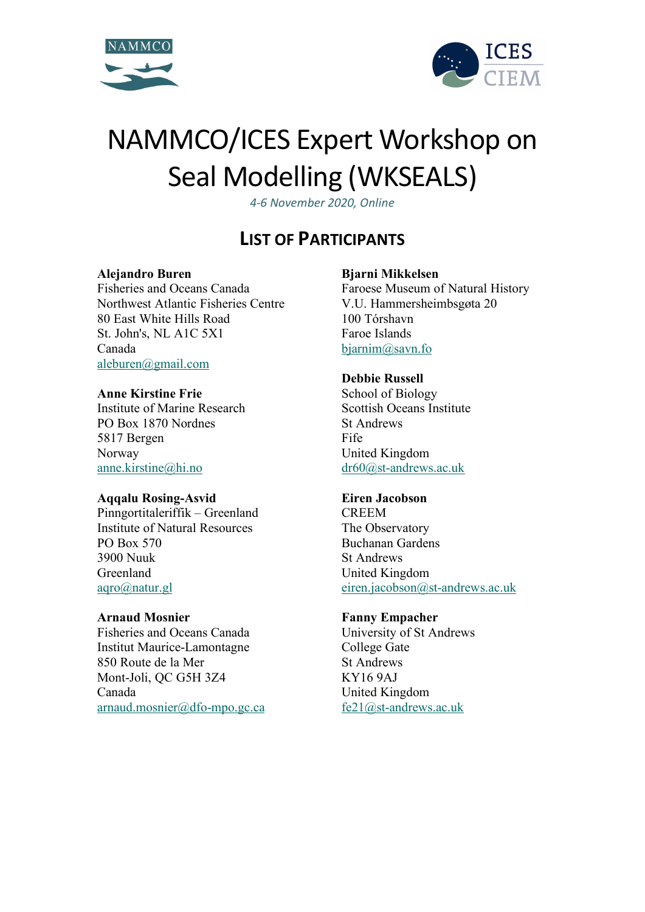



# NAMMCO/ICES Expert Workshop on Seal Modelling (WKSEALS)

*4-6 November 2020, Online*

# **LIST OF PARTICIPANTS**

# **Alejandro Buren**

Fisheries and Oceans Canada Northwest Atlantic Fisheries Centre 80 East White Hills Road St. John's, NL A1C 5X1 Canada [aleburen@gmail.com](mailto:aleburen@gmail.com)

# **Anne Kirstine Frie**

Institute of Marine Research PO Box 1870 Nordnes 5817 Bergen Norway [anne.kirstine@hi.no](mailto:anne.kirstine@hi.no)

# **Aqqalu Rosing-Asvid**

Pinngortitaleriffik – Greenland Institute of Natural Resources PO Box 570 3900 Nuuk Greenland [aqro@natur.gl](mailto:aqro@natur.gl)

# **Arnaud Mosnier**

Fisheries and Oceans Canada Institut Maurice-Lamontagne 850 Route de la Mer Mont-Joli, QC G5H 3Z4 Canada [arnaud.mosnier@dfo-mpo.gc.ca](mailto:arnaud.mosnier@dfo-mpo.gc.ca)

# **Bjarni Mikkelsen**

Faroese Museum of Natural History V.U. Hammersheimbsgøta 20 100 Tórshavn Faroe Islands [bjarnim@savn.fo](mailto:bjarnim@savn.fo)

# **Debbie Russell**

School of Biology Scottish Oceans Institute St Andrews Fife United Kingdom [dr60@st-andrews.ac.uk](mailto:dr60@st-andrews.ac.uk)

# **Eiren Jacobson**

CREEM The Observatory Buchanan Gardens St Andrews United Kingdom [eiren.jacobson@st-andrews.ac.uk](mailto:eiren.jacobson@st-andrews.ac.uk)

# **Fanny Empacher**

University of St Andrews College Gate St Andrews KY16 9AJ United Kingdom [fe21@st-andrews.ac.uk](mailto:fe21@st-andrews.ac.uk)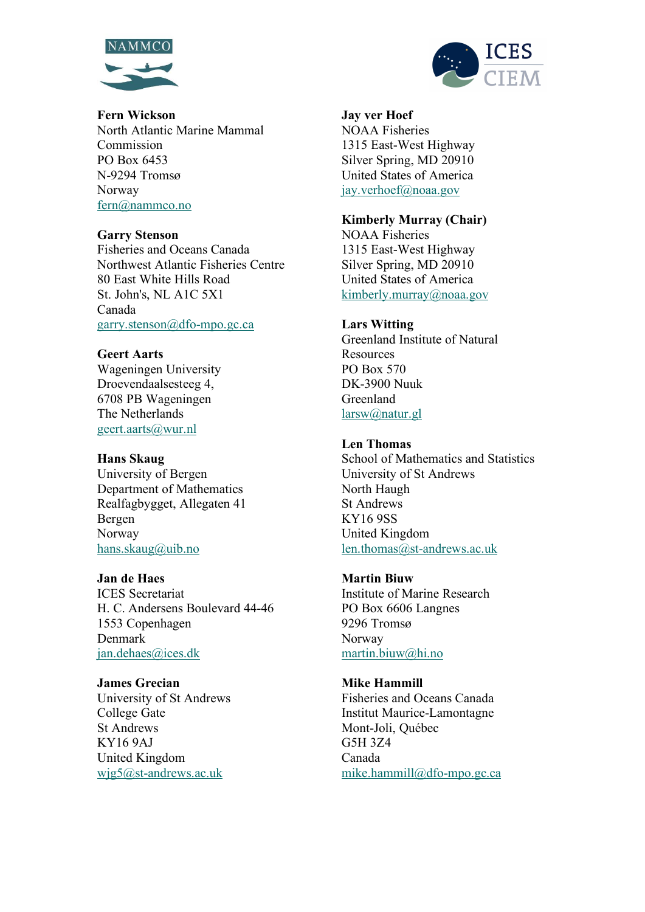



**Fern Wickson**  North Atlantic Marine Mammal Commission PO Box 6453 N-9294 Tromsø Norway [fern@nammco.no](mailto:fern@nammco.no)

#### **Garry Stenson**

Fisheries and Oceans Canada Northwest Atlantic Fisheries Centre 80 East White Hills Road St. John's, NL A1C 5X1 Canada [garry.stenson@dfo-mpo.gc.ca](mailto:garry.stenson@dfo-mpo.gc.ca)

#### **Geert Aarts**

Wageningen University Droevendaalsesteeg 4, 6708 PB Wageningen The Netherlands [geert.aarts@wur.nl](mailto:geert.aarts@wur.nl)

#### **Hans Skaug**

University of Bergen Department of Mathematics Realfagbygget, Allegaten 41 Bergen Norway [hans.skaug@uib.no](mailto:hans.skaug@uib.no)

#### **Jan de Haes**

ICES Secretariat H. C. Andersens Boulevard 44-46 1553 Copenhagen Denmark [jan.dehaes@ices.dk](mailto:jan.dehaes@ices.dk)

#### **James Grecian**

University of St Andrews College Gate St Andrews KY16 9AJ United Kingdom [wjg5@st-andrews.ac.uk](mailto:wjg5@st-andrews.ac.uk)

**Jay ver Hoef** NOAA Fisheries 1315 East-West Highway Silver Spring, MD 20910 United States of America [jay.verhoef@noaa.gov](mailto:jay.verhoef@noaa.gov)

#### **Kimberly Murray (Chair)**

NOAA Fisheries 1315 East-West Highway Silver Spring, MD 20910 United States of America [kimberly.murray@noaa.gov](mailto:kimberly.murray@noaa.gov)

#### **Lars Witting**

Greenland Institute of Natural Resources PO Box 570 DK-3900 Nuuk Greenland [larsw@natur.gl](mailto:larsw@natur.gl)

# **Len Thomas**

School of Mathematics and Statistics University of St Andrews North Haugh St Andrews KY16 9SS United Kingdom [len.thomas@st-andrews.ac.uk](mailto:len.thomas@st-andrews.ac.uk)

#### **Martin Biuw**

Institute of Marine Research PO Box 6606 Langnes 9296 Tromsø Norway [martin.biuw@hi.no](mailto:martin.biuw@hi.no)

#### **Mike Hammill**

Fisheries and Oceans Canada Institut Maurice-Lamontagne Mont-Joli, Québec G5H 3Z4 Canada [mike.hammill@dfo-mpo.gc.ca](mailto:mike.hammill@dfo-mpo.gc.ca)